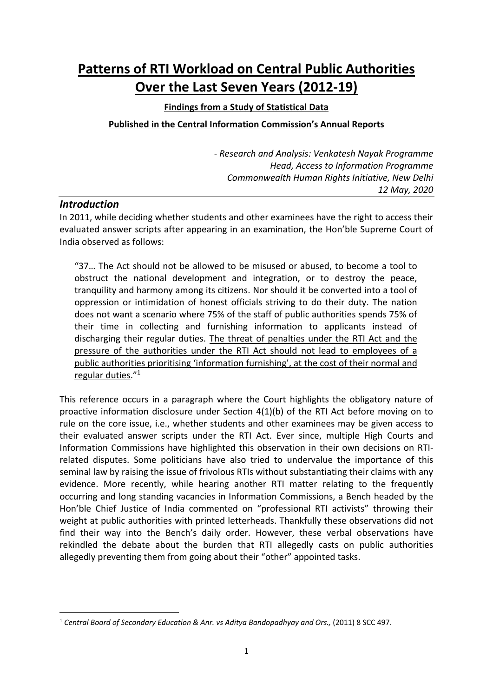# **Patterns of RTI Workload on Central Public Authorities Over the Last Seven Years (2012-19)**

# **Findings from a Study of Statistical Data Published in the Central Information Commission's Annual Reports**

- *Research and Analysis: Venkatesh Nayak Programme Head, Access to Information Programme Commonwealth Human Rights Initiative, New Delhi 12 May, 2020*

#### *Introduction*

In 2011, while deciding whether students and other examinees have the right to access their evaluated answer scripts after appearing in an examination, the Hon'ble Supreme Court of India observed as follows:

"37… The Act should not be allowed to be misused or abused, to become a tool to obstruct the national development and integration, or to destroy the peace, tranquility and harmony among its citizens. Nor should it be converted into a tool of oppression or intimidation of honest officials striving to do their duty. The nation does not want a scenario where 75% of the staff of public authorities spends 75% of their time in collecting and furnishing information to applicants instead of discharging their regular duties. The threat of penalties under the RTI Act and the pressure of the authorities under the RTI Act should not lead to employees of a public authorities prioritising 'information furnishing', at the cost of their normal and regular duties." 1

This reference occurs in a paragraph where the Court highlights the obligatory nature of proactive information disclosure under Section 4(1)(b) of the RTI Act before moving on to rule on the core issue, i.e., whether students and other examinees may be given access to their evaluated answer scripts under the RTI Act. Ever since, multiple High Courts and Information Commissions have highlighted this observation in their own decisions on RTIrelated disputes. Some politicians have also tried to undervalue the importance of this seminal law by raising the issue of frivolous RTIs without substantiating their claims with any evidence. More recently, while hearing another RTI matter relating to the frequently occurring and long standing vacancies in Information Commissions, a Bench headed by the Hon'ble Chief Justice of India commented on "professional RTI activists" throwing their weight at public authorities with printed letterheads. Thankfully these observations did not find their way into the Bench's daily order. However, these verbal observations have rekindled the debate about the burden that RTI allegedly casts on public authorities allegedly preventing them from going about their "other" appointed tasks.

<sup>1</sup> *Central Board of Secondary Education & Anr. vs Aditya Bandopadhyay and Ors.,* (2011) 8 SCC 497.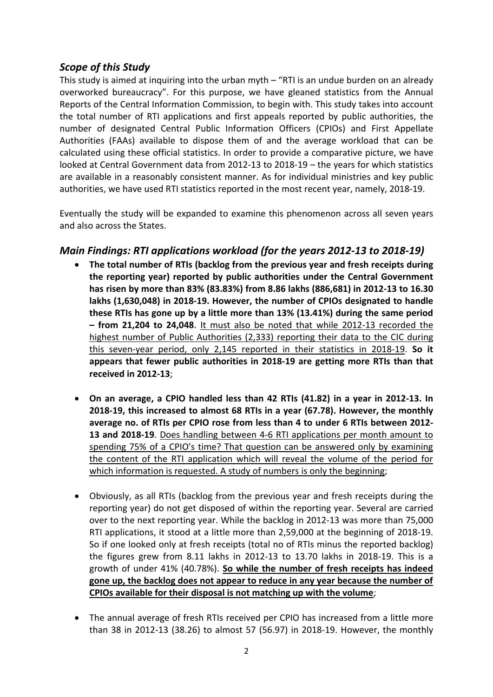#### *Scope of this Study*

This study is aimed at inquiring into the urban myth – "RTI is an undue burden on an already overworked bureaucracy". For this purpose, we have gleaned statistics from the Annual Reports of the Central Information Commission, to begin with. This study takes into account the total number of RTI applications and first appeals reported by public authorities, the number of designated Central Public Information Officers (CPIOs) and First Appellate Authorities (FAAs) available to dispose them of and the average workload that can be calculated using these official statistics. In order to provide a comparative picture, we have looked at Central Government data from 2012-13 to 2018-19 – the years for which statistics are available in a reasonably consistent manner. As for individual ministries and key public authorities, we have used RTI statistics reported in the most recent year, namely, 2018-19.

Eventually the study will be expanded to examine this phenomenon across all seven years and also across the States.

#### *Main Findings: RTI applications workload (for the years 2012-13 to 2018-19)*

- **The total number of RTIs (backlog from the previous year and fresh receipts during the reporting year) reported by public authorities under the Central Government has risen by more than 83% (83.83%) from 8.86 lakhs (886,681) in 2012-13 to 16.30 lakhs (1,630,048) in 2018-19. However, the number of CPIOs designated to handle these RTIs has gone up by a little more than 13% (13.41%) during the same period – from 21,204 to 24,048**. It must also be noted that while 2012-13 recorded the highest number of Public Authorities (2,333) reporting their data to the CIC during this seven-year period, only 2,145 reported in their statistics in 2018-19. **So it appears that fewer public authorities in 2018-19 are getting more RTIs than that received in 2012-13**;
- **On an average, a CPIO handled less than 42 RTIs (41.82) in a year in 2012-13. In 2018-19, this increased to almost 68 RTIs in a year (67.78). However, the monthly average no. of RTIs per CPIO rose from less than 4 to under 6 RTIs between 2012- 13 and 2018-19**. Does handling between 4-6 RTI applications per month amount to spending 75% of a CPIO's time? That question can be answered only by examining the content of the RTI application which will reveal the volume of the period for which information is requested. A study of numbers is only the beginning;
- Obviously, as all RTIs (backlog from the previous year and fresh receipts during the reporting year) do not get disposed of within the reporting year. Several are carried over to the next reporting year. While the backlog in 2012-13 was more than 75,000 RTI applications, it stood at a little more than 2,59,000 at the beginning of 2018-19. So if one looked only at fresh receipts (total no of RTIs minus the reported backlog) the figures grew from 8.11 lakhs in 2012-13 to 13.70 lakhs in 2018-19. This is a growth of under 41% (40.78%). **So while the number of fresh receipts has indeed gone up, the backlog does not appear to reduce in any year because the number of CPIOs available for their disposal is not matching up with the volume**;
- The annual average of fresh RTIs received per CPIO has increased from a little more than 38 in 2012-13 (38.26) to almost 57 (56.97) in 2018-19. However, the monthly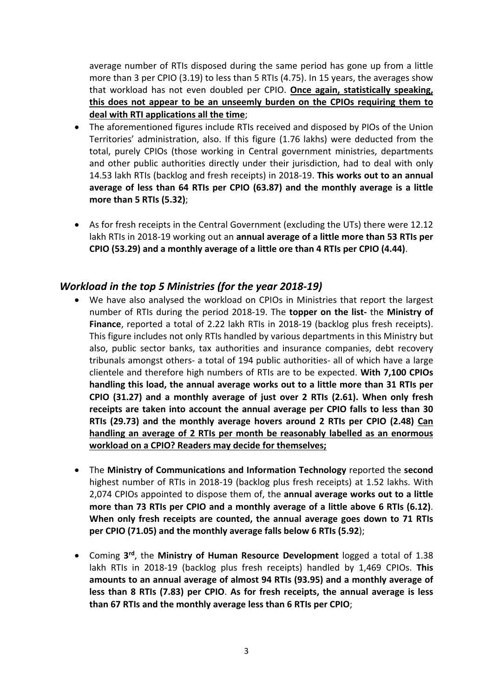average number of RTIs disposed during the same period has gone up from a little more than 3 per CPIO (3.19) to less than 5 RTIs (4.75). In 15 years, the averages show that workload has not even doubled per CPIO. **Once again, statistically speaking, this does not appear to be an unseemly burden on the CPIOs requiring them to deal with RTI applications all the time**;

- The aforementioned figures include RTIs received and disposed by PIOs of the Union Territories' administration, also. If this figure (1.76 lakhs) were deducted from the total, purely CPIOs (those working in Central government ministries, departments and other public authorities directly under their jurisdiction, had to deal with only 14.53 lakh RTIs (backlog and fresh receipts) in 2018-19. **This works out to an annual average of less than 64 RTIs per CPIO (63.87) and the monthly average is a little more than 5 RTIs (5.32)**;
- As for fresh receipts in the Central Government (excluding the UTs) there were 12.12 lakh RTIs in 2018-19 working out an **annual average of a little more than 53 RTIs per CPIO (53.29) and a monthly average of a little ore than 4 RTIs per CPIO (4.44)**.

#### *Workload in the top 5 Ministries (for the year 2018-19)*

- We have also analysed the workload on CPIOs in Ministries that report the largest number of RTIs during the period 2018-19. The **topper on the list-** the **Ministry of Finance**, reported a total of 2.22 lakh RTIs in 2018-19 (backlog plus fresh receipts). This figure includes not only RTIs handled by various departments in this Ministry but also, public sector banks, tax authorities and insurance companies, debt recovery tribunals amongst others- a total of 194 public authorities- all of which have a large clientele and therefore high numbers of RTIs are to be expected. **With 7,100 CPIOs handling this load, the annual average works out to a little more than 31 RTIs per CPIO (31.27) and a monthly average of just over 2 RTIs (2.61). When only fresh receipts are taken into account the annual average per CPIO falls to less than 30 RTIs (29.73) and the monthly average hovers around 2 RTIs per CPIO (2.48) Can handling an average of 2 RTIs per month be reasonably labelled as an enormous workload on a CPIO? Readers may decide for themselves;**
- The **Ministry of Communications and Information Technology** reported the **second** highest number of RTIs in 2018-19 (backlog plus fresh receipts) at 1.52 lakhs. With 2,074 CPIOs appointed to dispose them of, the **annual average works out to a little more than 73 RTIs per CPIO and a monthly average of a little above 6 RTIs (6.12)**. **When only fresh receipts are counted, the annual average goes down to 71 RTIs per CPIO (71.05) and the monthly average falls below 6 RTIs (5.92**);
- Coming 3<sup>rd</sup>, the Ministry of Human Resource Development logged a total of 1.38 lakh RTIs in 2018-19 (backlog plus fresh receipts) handled by 1,469 CPIOs. **This amounts to an annual average of almost 94 RTIs (93.95) and a monthly average of less than 8 RTIs (7.83) per CPIO**. **As for fresh receipts, the annual average is less than 67 RTIs and the monthly average less than 6 RTIs per CPIO**;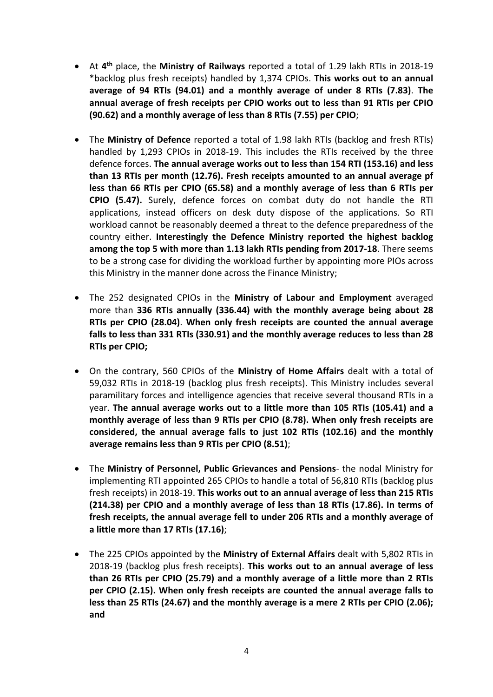- At 4<sup>th</sup> place, the Ministry of Railways reported a total of 1.29 lakh RTIs in 2018-19 \*backlog plus fresh receipts) handled by 1,374 CPIOs. **This works out to an annual average of 94 RTIs (94.01) and a monthly average of under 8 RTIs (7.83)**. **The annual average of fresh receipts per CPIO works out to less than 91 RTIs per CPIO (90.62) and a monthly average of less than 8 RTIs (7.55) per CPIO**;
- The **Ministry of Defence** reported a total of 1.98 lakh RTIs (backlog and fresh RTIs) handled by 1,293 CPIOs in 2018-19. This includes the RTIs received by the three defence forces. **The annual average works out to less than 154 RTI (153.16) and less than 13 RTIs per month (12.76). Fresh receipts amounted to an annual average pf less than 66 RTIs per CPIO (65.58) and a monthly average of less than 6 RTIs per CPIO (5.47).** Surely, defence forces on combat duty do not handle the RTI applications, instead officers on desk duty dispose of the applications. So RTI workload cannot be reasonably deemed a threat to the defence preparedness of the country either. **Interestingly the Defence Ministry reported the highest backlog among the top 5 with more than 1.13 lakh RTIs pending from 2017-18**. There seems to be a strong case for dividing the workload further by appointing more PIOs across this Ministry in the manner done across the Finance Ministry;
- The 252 designated CPIOs in the **Ministry of Labour and Employment** averaged more than **336 RTIs annually (336.44) with the monthly average being about 28 RTIs per CPIO (28.04)**. **When only fresh receipts are counted the annual average falls to less than 331 RTIs (330.91) and the monthly average reduces to less than 28 RTIs per CPIO;**
- On the contrary, 560 CPIOs of the **Ministry of Home Affairs** dealt with a total of 59,032 RTIs in 2018-19 (backlog plus fresh receipts). This Ministry includes several paramilitary forces and intelligence agencies that receive several thousand RTIs in a year. **The annual average works out to a little more than 105 RTIs (105.41) and a monthly average of less than 9 RTIs per CPIO (8.78). When only fresh receipts are considered, the annual average falls to just 102 RTIs (102.16) and the monthly average remains less than 9 RTIs per CPIO (8.51)**;
- The **Ministry of Personnel, Public Grievances and Pensions** the nodal Ministry for implementing RTI appointed 265 CPIOs to handle a total of 56,810 RTIs (backlog plus fresh receipts) in 2018-19. **This works out to an annual average of less than 215 RTIs (214.38) per CPIO and a monthly average of less than 18 RTIs (17.86). In terms of fresh receipts, the annual average fell to under 206 RTIs and a monthly average of a little more than 17 RTIs (17.16)**;
- The 225 CPIOs appointed by the **Ministry of External Affairs** dealt with 5,802 RTIs in 2018-19 (backlog plus fresh receipts). **This works out to an annual average of less than 26 RTIs per CPIO (25.79) and a monthly average of a little more than 2 RTIs per CPIO (2.15). When only fresh receipts are counted the annual average falls to less than 25 RTIs (24.67) and the monthly average is a mere 2 RTIs per CPIO (2.06); and**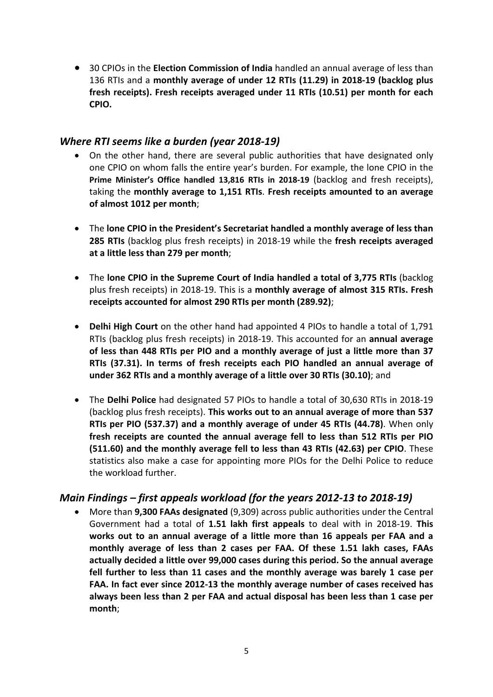• 30 CPIOs in the **Election Commission of India** handled an annual average of less than 136 RTIs and a **monthly average of under 12 RTIs (11.29) in 2018-19 (backlog plus fresh receipts). Fresh receipts averaged under 11 RTIs (10.51) per month for each CPIO.**

#### *Where RTI seems like a burden (year 2018-19)*

- On the other hand, there are several public authorities that have designated only one CPIO on whom falls the entire year's burden. For example, the lone CPIO in the **Prime Minister's Office handled 13,816 RTIs in 2018-19** (backlog and fresh receipts), taking the **monthly average to 1,151 RTIs**. **Fresh receipts amounted to an average of almost 1012 per month**;
- The **lone CPIO in the President's Secretariat handled a monthly average of less than 285 RTIs** (backlog plus fresh receipts) in 2018-19 while the **fresh receipts averaged at a little less than 279 per month**;
- The **lone CPIO in the Supreme Court of India handled a total of 3,775 RTIs** (backlog plus fresh receipts) in 2018-19. This is a **monthly average of almost 315 RTIs. Fresh receipts accounted for almost 290 RTIs per month (289.92)**;
- **Delhi High Court** on the other hand had appointed 4 PIOs to handle a total of 1,791 RTIs (backlog plus fresh receipts) in 2018-19. This accounted for an **annual average of less than 448 RTIs per PIO and a monthly average of just a little more than 37 RTIs (37.31). In terms of fresh receipts each PIO handled an annual average of under 362 RTIs and a monthly average of a little over 30 RTIs (30.10)**; and
- The **Delhi Police** had designated 57 PIOs to handle a total of 30,630 RTIs in 2018-19 (backlog plus fresh receipts). **This works out to an annual average of more than 537 RTIs per PIO (537.37) and a monthly average of under 45 RTIs (44.78)**. When only **fresh receipts are counted the annual average fell to less than 512 RTIs per PIO (511.60) and the monthly average fell to less than 43 RTIs (42.63) per CPIO**. These statistics also make a case for appointing more PIOs for the Delhi Police to reduce the workload further.

### *Main Findings – first appeals workload (for the years 2012-13 to 2018-19)*

• More than **9,300 FAAs designated** (9,309) across public authorities under the Central Government had a total of **1.51 lakh first appeals** to deal with in 2018-19. **This works out to an annual average of a little more than 16 appeals per FAA and a monthly average of less than 2 cases per FAA. Of these 1.51 lakh cases, FAAs actually decided a little over 99,000 cases during this period. So the annual average fell further to less than 11 cases and the monthly average was barely 1 case per FAA. In fact ever since 2012-13 the monthly average number of cases received has always been less than 2 per FAA and actual disposal has been less than 1 case per month**;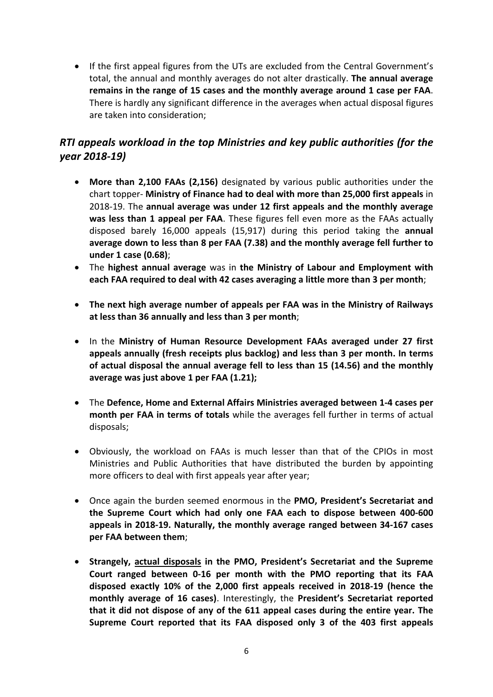• If the first appeal figures from the UTs are excluded from the Central Government's total, the annual and monthly averages do not alter drastically. **The annual average remains in the range of 15 cases and the monthly average around 1 case per FAA**. There is hardly any significant difference in the averages when actual disposal figures are taken into consideration;

## *RTI appeals workload in the top Ministries and key public authorities (for the year 2018-19)*

- **More than 2,100 FAAs (2,156)** designated by various public authorities under the chart topper- **Ministry of Finance had to deal with more than 25,000 first appeals** in 2018-19. The **annual average was under 12 first appeals and the monthly average was less than 1 appeal per FAA**. These figures fell even more as the FAAs actually disposed barely 16,000 appeals (15,917) during this period taking the **annual average down to less than 8 per FAA (7.38) and the monthly average fell further to under 1 case (0.68)**;
- The **highest annual average** was in **the Ministry of Labour and Employment with each FAA required to deal with 42 cases averaging a little more than 3 per month**;
- **The next high average number of appeals per FAA was in the Ministry of Railways at less than 36 annually and less than 3 per month**;
- In the **Ministry of Human Resource Development FAAs averaged under 27 first appeals annually (fresh receipts plus backlog) and less than 3 per month. In terms of actual disposal the annual average fell to less than 15 (14.56) and the monthly average was just above 1 per FAA (1.21);**
- The **Defence, Home and External Affairs Ministries averaged between 1-4 cases per month per FAA in terms of totals** while the averages fell further in terms of actual disposals;
- Obviously, the workload on FAAs is much lesser than that of the CPIOs in most Ministries and Public Authorities that have distributed the burden by appointing more officers to deal with first appeals year after year;
- Once again the burden seemed enormous in the **PMO, President's Secretariat and the Supreme Court which had only one FAA each to dispose between 400-600 appeals in 2018-19. Naturally, the monthly average ranged between 34-167 cases per FAA between them**;
- **Strangely, actual disposals in the PMO, President's Secretariat and the Supreme Court ranged between 0-16 per month with the PMO reporting that its FAA disposed exactly 10% of the 2,000 first appeals received in 2018-19 (hence the monthly average of 16 cases)**. Interestingly, the **President's Secretariat reported that it did not dispose of any of the 611 appeal cases during the entire year. The Supreme Court reported that its FAA disposed only 3 of the 403 first appeals**